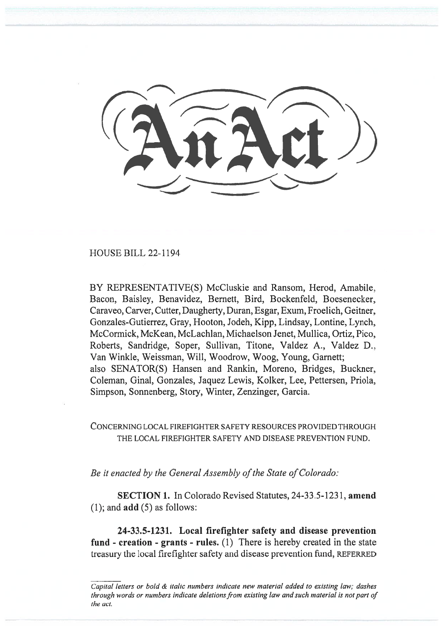HOUSE BILL 22-1194

BY REPRESENTATIVE(S) McCluskie and Ransom, Herod, Amabile, Bacon, Baisley, Benavidez, Bernett, Bird, Bockenfeld, Boesenecker, Caraveo, Carver, Cutter, Daugherty, Duran, Esgar, Exum, Froelich, Geitner, Gonzales-Gutierrez, Gray, Hooton, Jodeh, Kipp, Lindsay, Lontine, Lynch, McCormick, McKean, McLachlan, Michaelson Jenet, Mullica, Ortiz, Pico, Roberts, Sandridge, Soper, Sullivan, Titone, Valdez A., Valdez D., Van Winkle, Weissman, Will, Woodrow, Woog, Young, Garnett; also SENATOR(S) Hansen and Rankin, Moreno, Bridges, Buckner, Coleman, Ginal, Gonzales, Jaquez Lewis, Kolker, Lee, Pettersen, Priola, Simpson, Sonnenberg, Story, Winter, Zenzinger, Garcia.

CONCERNING LOCAL FIREFIGHTER SAFETY RESOURCES PROVIDED THROUGH THE LOCAL FIREFIGHTER SAFETY AND DISEASE PREVENTION FUND.

Be it enacted by the General Assembly of the State of Colorado:

SECTION 1. In Colorado Revised Statutes, 24-33.5-1231, amend  $(1)$ ; and  $add(5)$  as follows:

24-33.5-1231. Local firefighter safety and disease prevention fund - creation - grants - rules. (1) There is hereby created in the state treasury the local firefighter safety and disease prevention fund, REFERRED

Capital letters or bold & italic numbers indicate new material added to existing law; dashes through words or numbers indicate deletions from existing law and such material is not part of the act.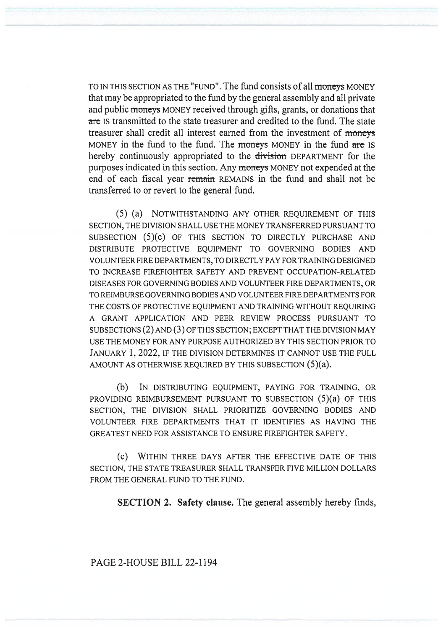TO IN THIS SECTION AS THE "FUND". The fund consists of all moneys MONEY that may be appropriated to the fund by the general assembly and all private and public moneys MONEY received through gifts, grants, or donations that are Is transmitted to the state treasurer and credited to the fund. The state treasurer shall credit all interest earned from the investment of moneys MONEY in the fund to the fund. The moneys MONEY in the fund are IS hereby continuously appropriated to the division DEPARTMENT for the purposes indicated in this section. Any moneys MONEY not expended at the end of each fiscal year remain REMAINS in the fund and shall not be transferred to or revert to the general fund.

(5) (a) NOTWITHSTANDING ANY OTHER REQUIREMENT OF THIS SECTION, THE DIVISION SHALL USE THE MONEY TRANSFERRED PURSUANT TO SUBSECTION (5)(c) OF THIS SECTION TO DIRECTLY PURCHASE AND DISTRIBUTE PROTECTIVE EQUIPMENT TO GOVERNING BODIES AND VOLUNTEER FIRE DEPARTMENTS, TO DIRECTLY PAY FOR TRAINING DESIGNED TO INCREASE FIREFIGHTER SAFETY AND PREVENT OCCUPATION-RELATED DISEASES FOR GOVERNING BODIES AND VOLUNTEER FIRE DEPARTMENTS, OR TO REIMBURSE GOVERNING BODIES AND VOLUNTEER FIRE DEPARTMENTS FOR THE COSTS OF PROTECTIVE EQUIPMENT AND TRAINING WITHOUT REQUIRING A GRANT APPLICATION AND PEER REVIEW PROCESS PURSUANT TO SUBSECTIONS (2) AND (3) OF THIS SECTION; EXCEPT THAT THE DIVISION MAY USE THE MONEY FOR ANY PURPOSE AUTHORIZED BY THIS SECTION PRIOR TO JANUARY 1, 2022, IF THE DIVISION DETERMINES IT CANNOT USE THE FULL AMOUNT AS OTHERWISE REQUIRED BY THIS SUBSECTION (5)(a).

(b) IN DISTRIBUTING EQUIPMENT, PAYING FOR TRAINING, OR PROVIDING REIMBURSEMENT PURSUANT TO SUBSECTION (5)(a) OF THIS SECTION, THE DIVISION SHALL PRIORITIZE GOVERNING BODIES AND VOLUNTEER FIRE DEPARTMENTS THAT IT IDENTIFIES AS HAVING THE GREATEST NEED FOR ASSISTANCE TO ENSURE FIREFIGHTER SAFETY.

(C) WITHIN THREE DAYS AFTER THE EFFECTIVE DATE OF THIS SECTION, THE STATE TREASURER SHALL TRANSFER FIVE MILLION DOLLARS FROM THE GENERAL FUND TO THE FUND.

SECTION 2. Safety clause. The general assembly hereby finds,

PAGE 2-HOUSE BILL 22-1194